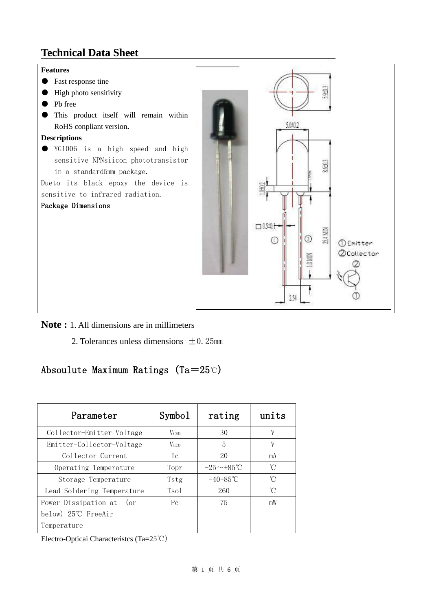## **Technical Data Sheet**



#### **Note :** 1. All dimensions are in millimeters

2. Tolerances unless dimensions  $\pm$  0.25mm

### Absoulute Maximum Ratings (Ta=25℃)

| Parameter                  | Symbol           | rating            | units |
|----------------------------|------------------|-------------------|-------|
| Collector-Emitter Voltage  | <b>V</b> CEO     | 30                | V     |
| Emitter-Collector-Voltage  | V <sub>ECO</sub> | 5                 | V     |
| Collector Current          | Ιc               | 20                | mA    |
| Operating Temperature      | Topr             | $-25 \sim +85$ °C | °C    |
| Storage Temperature        | Tstg             | $-40+85$ °C       | °C    |
| Lead Soldering Temperature | Tsol             | 260               | °C    |
| Power Dissipation at (or   | $P_{C}$          | 75                | mW    |
| below) 25°C FreeAir        |                  |                   |       |
| Temperature                |                  |                   |       |

Electro-Opticai Characteristcs (Ta=25℃)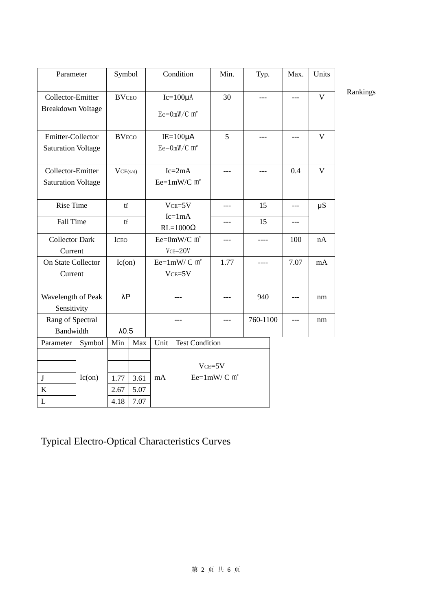| Parameter                                      |                                                            | Symbol        |              | Condition                                    |                       | Min.                                     | Typ.     |     | Max.  | Units        |          |
|------------------------------------------------|------------------------------------------------------------|---------------|--------------|----------------------------------------------|-----------------------|------------------------------------------|----------|-----|-------|--------------|----------|
| Collector-Emitter<br><b>Breakdown VoItage</b>  |                                                            | <b>BVCEO</b>  |              | $Ic=100\mu A$<br>$Ee = 0mW/C$ m <sup>2</sup> |                       | 30                                       | $---$    |     | $---$ | $\mathbf{V}$ | Rankings |
| Emitter-Collector<br><b>Saturation VoItage</b> |                                                            | <b>BVECO</b>  |              | $IE=100\mu A$<br>$Ee = 0mW/C$ m <sup>2</sup> |                       | 5                                        | $---$    |     |       | $\mathbf{V}$ |          |
|                                                | Collector-Emitter<br>VCE(sat)<br><b>Saturation VoItage</b> |               |              | $Ic=2mA$<br>$Ee=1mW/C$ m <sup>2</sup>        |                       | $---$                                    | $---$    | 0.4 |       | $\mathbf{V}$ |          |
|                                                | <b>Rise Time</b><br>tf                                     |               |              | $VCE=5V$                                     |                       | $---$                                    | 15       |     | $---$ | $\mu S$      |          |
| Fall Time                                      |                                                            | tf            |              | $Ic=1mA$<br>$RL=1000\Omega$                  |                       | ---                                      | 15       |     | $---$ |              |          |
|                                                | <b>Collector Dark</b><br><b>ICEO</b><br>Current            |               |              | Ee= $0mW/C$ m <sup>2</sup><br>$VCE = 20V$    |                       | ---                                      | ----     |     | 100   | nA           |          |
| On State Collector<br>Current                  |                                                            | Ic(on)        |              | Ee= $1mW/C$ m <sup>2</sup><br>$VCE = 5V$     |                       | 1.77                                     | ----     |     | 7.07  | mA           |          |
| Wavelength of Peak<br>Sensitivity              |                                                            | $\lambda$ P   |              | $---$                                        |                       | ---                                      | 940      |     | $---$ | nm           |          |
| Rang of Spectral<br>Bandwidth                  |                                                            | $\lambda$ 0.5 |              | ---                                          |                       | $---$                                    | 760-1100 |     | $---$ | nm           |          |
| Parameter                                      | Symbol                                                     | Min           | Max          | Unit                                         | <b>Test Condition</b> |                                          |          |     |       |              |          |
| $\bf J$<br>$\bf K$                             | Ic(on)                                                     | 1.77<br>2.67  | 3.61<br>5.07 | mA                                           |                       | $VCE = 5V$<br>Ee= $1mW/C$ m <sup>2</sup> |          |     |       |              |          |
| $\mathbf L$                                    |                                                            | 4.18          | 7.07         |                                              |                       |                                          |          |     |       |              |          |

# Typical Electro-Optical Characteristics Curves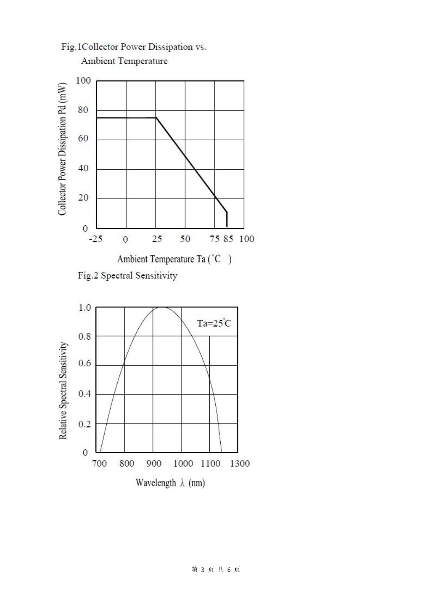

Fig.1Collector Power Dissipation vs.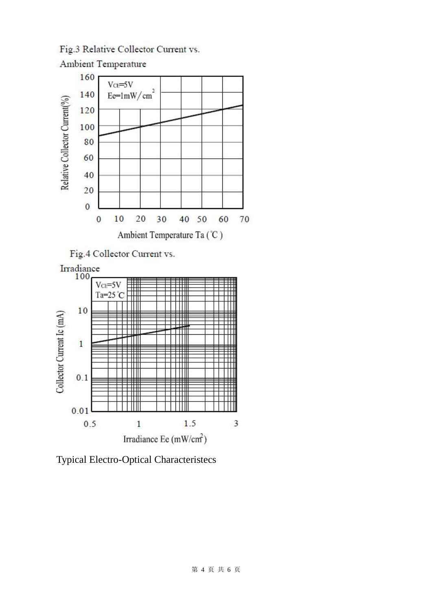Fig.3 Relative Collector Current vs.





Typical Electro-Optical Characteristecs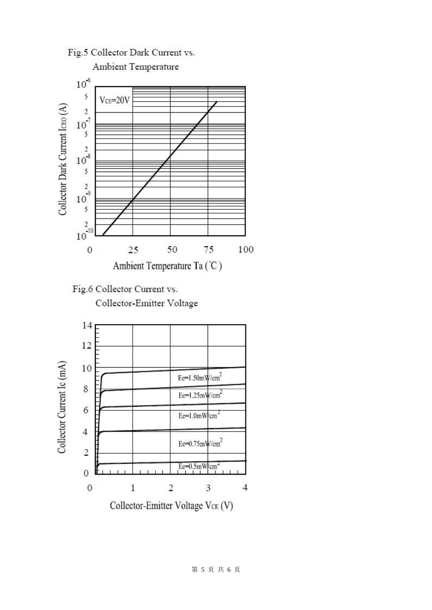



Collector-Emitter Voltage VCE (V)